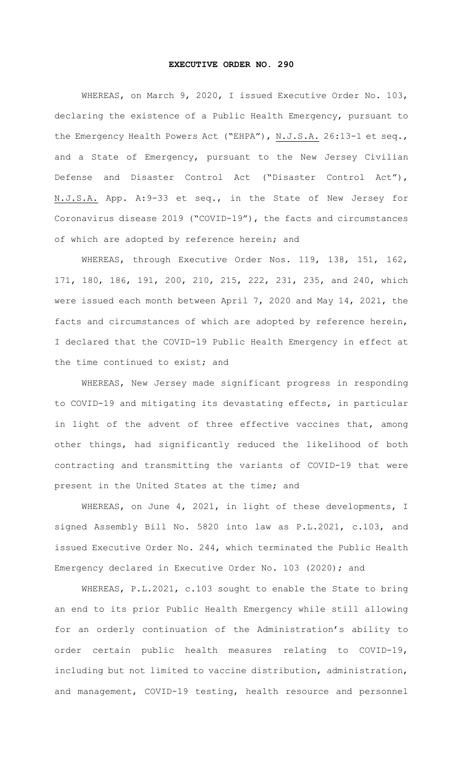## **EXECUTIVE ORDER NO. 290**

WHEREAS, on March 9, 2020, I issued Executive Order No. 103, declaring the existence of a Public Health Emergency, pursuant to the Emergency Health Powers Act ("EHPA"), N.J.S.A. 26:13-1 et seq., and a State of Emergency, pursuant to the New Jersey Civilian Defense and Disaster Control Act ("Disaster Control Act"), N.J.S.A. App. A:9-33 et seq., in the State of New Jersey for Coronavirus disease 2019 ("COVID-19"), the facts and circumstances of which are adopted by reference herein; and

WHEREAS, through Executive Order Nos. 119, 138, 151, 162, 171, 180, 186, 191, 200, 210, 215, 222, 231, 235, and 240, which were issued each month between April 7, 2020 and May 14, 2021, the facts and circumstances of which are adopted by reference herein, I declared that the COVID-19 Public Health Emergency in effect at the time continued to exist; and

WHEREAS, New Jersey made significant progress in responding to COVID-19 and mitigating its devastating effects, in particular in light of the advent of three effective vaccines that, among other things, had significantly reduced the likelihood of both contracting and transmitting the variants of COVID-19 that were present in the United States at the time; and

WHEREAS, on June 4, 2021, in light of these developments, I signed Assembly Bill No. 5820 into law as P.L.2021, c.103, and issued Executive Order No. 244, which terminated the Public Health Emergency declared in Executive Order No. 103 (2020); and

WHEREAS, P.L.2021, c.103 sought to enable the State to bring an end to its prior Public Health Emergency while still allowing for an orderly continuation of the Administration's ability to order certain public health measures relating to COVID-19, including but not limited to vaccine distribution, administration, and management, COVID-19 testing, health resource and personnel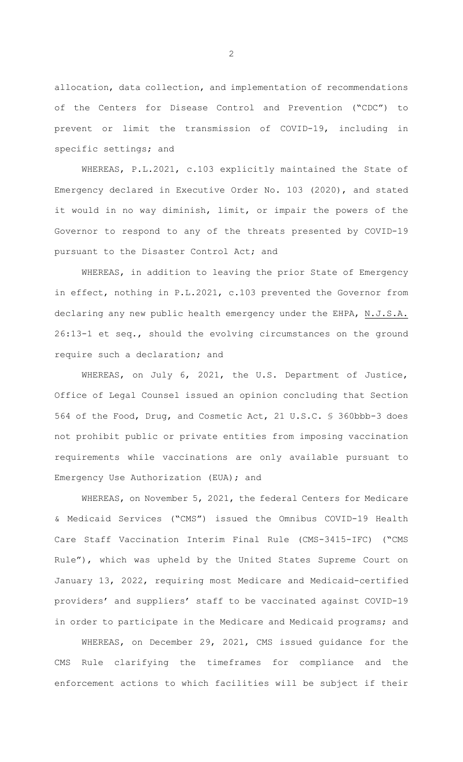allocation, data collection, and implementation of recommendations of the Centers for Disease Control and Prevention ("CDC") to prevent or limit the transmission of COVID-19, including in specific settings; and

WHEREAS, P.L.2021, c.103 explicitly maintained the State of Emergency declared in Executive Order No. 103 (2020), and stated it would in no way diminish, limit, or impair the powers of the Governor to respond to any of the threats presented by COVID-19 pursuant to the Disaster Control Act; and

WHEREAS, in addition to leaving the prior State of Emergency in effect, nothing in P.L.2021, c.103 prevented the Governor from declaring any new public health emergency under the EHPA, N.J.S.A. 26:13-1 et seq., should the evolving circumstances on the ground require such a declaration; and

WHEREAS, on July 6, 2021, the U.S. Department of Justice, Office of Legal Counsel issued an opinion concluding that Section 564 of the Food, Drug, and Cosmetic Act, 21 U.S.C. § 360bbb-3 does not prohibit public or private entities from imposing vaccination requirements while vaccinations are only available pursuant to Emergency Use Authorization (EUA); and

WHEREAS, on November 5, 2021, the federal Centers for Medicare & Medicaid Services ("CMS") issued the Omnibus COVID-19 Health Care Staff Vaccination Interim Final Rule (CMS-3415-IFC) ("CMS Rule"), which was upheld by the United States Supreme Court on January 13, 2022, requiring most Medicare and Medicaid-certified providers' and suppliers' staff to be vaccinated against COVID-19 in order to participate in the Medicare and Medicaid programs; and

WHEREAS, on December 29, 2021, CMS issued guidance for the CMS Rule clarifying the timeframes for compliance and the enforcement actions to which facilities will be subject if their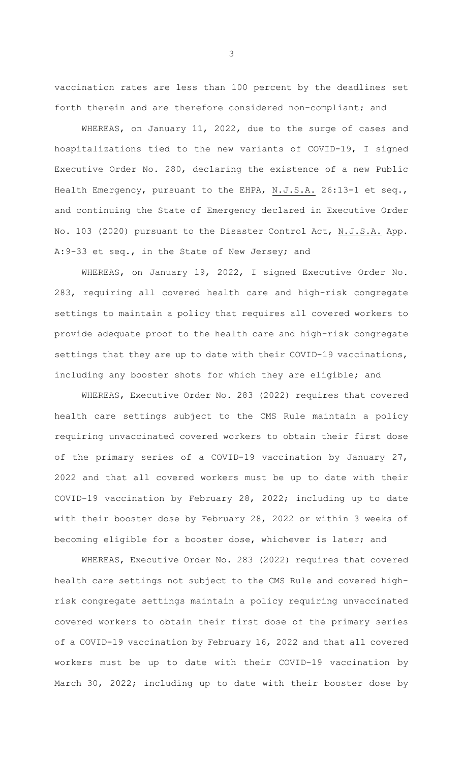vaccination rates are less than 100 percent by the deadlines set forth therein and are therefore considered non-compliant; and

WHEREAS, on January 11, 2022, due to the surge of cases and hospitalizations tied to the new variants of COVID-19, I signed Executive Order No. 280, declaring the existence of a new Public Health Emergency, pursuant to the EHPA, N.J.S.A. 26:13-1 et seq., and continuing the State of Emergency declared in Executive Order No. 103 (2020) pursuant to the Disaster Control Act, N.J.S.A. App. A:9-33 et seq., in the State of New Jersey; and

WHEREAS, on January 19, 2022, I signed Executive Order No. 283, requiring all covered health care and high-risk congregate settings to maintain a policy that requires all covered workers to provide adequate proof to the health care and high-risk congregate settings that they are up to date with their COVID-19 vaccinations, including any booster shots for which they are eligible; and

WHEREAS, Executive Order No. 283 (2022) requires that covered health care settings subject to the CMS Rule maintain a policy requiring unvaccinated covered workers to obtain their first dose of the primary series of a COVID-19 vaccination by January 27, 2022 and that all covered workers must be up to date with their COVID-19 vaccination by February 28, 2022; including up to date with their booster dose by February 28, 2022 or within 3 weeks of becoming eligible for a booster dose, whichever is later; and

WHEREAS, Executive Order No. 283 (2022) requires that covered health care settings not subject to the CMS Rule and covered highrisk congregate settings maintain a policy requiring unvaccinated covered workers to obtain their first dose of the primary series of a COVID-19 vaccination by February 16, 2022 and that all covered workers must be up to date with their COVID-19 vaccination by March 30, 2022; including up to date with their booster dose by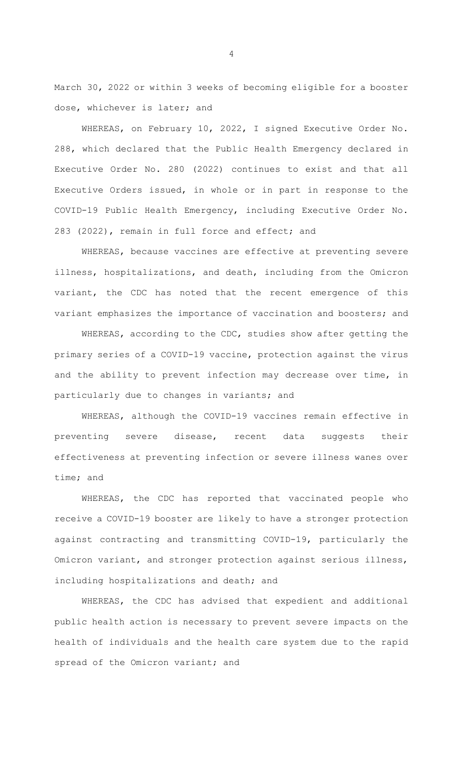March 30, 2022 or within 3 weeks of becoming eligible for a booster dose, whichever is later; and

WHEREAS, on February 10, 2022, I signed Executive Order No. 288, which declared that the Public Health Emergency declared in Executive Order No. 280 (2022) continues to exist and that all Executive Orders issued, in whole or in part in response to the COVID-19 Public Health Emergency, including Executive Order No. 283 (2022), remain in full force and effect; and

WHEREAS, because vaccines are effective at preventing severe illness, hospitalizations, and death, including from the Omicron variant, the CDC has noted that the recent emergence of this variant emphasizes the importance of vaccination and boosters; and

WHEREAS, according to the CDC, studies show after getting the primary series of a COVID-19 vaccine, protection against the virus and the ability to prevent infection may decrease over time, in particularly due to changes in variants; and

WHEREAS, although the COVID-19 vaccines remain effective in preventing severe disease, recent data suggests their effectiveness at preventing infection or severe illness wanes over time; and

WHEREAS, the CDC has reported that vaccinated people who receive a COVID-19 booster are likely to have a stronger protection against contracting and transmitting COVID-19, particularly the Omicron variant, and stronger protection against serious illness, including hospitalizations and death; and

WHEREAS, the CDC has advised that expedient and additional public health action is necessary to prevent severe impacts on the health of individuals and the health care system due to the rapid spread of the Omicron variant; and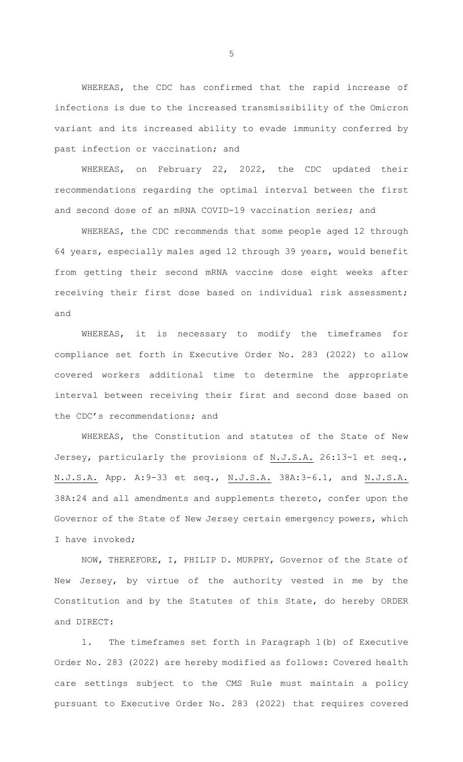WHEREAS, the CDC has confirmed that the rapid increase of infections is due to the increased transmissibility of the Omicron variant and its increased ability to evade immunity conferred by past infection or vaccination; and

WHEREAS, on February 22, 2022, the CDC updated their recommendations regarding the optimal interval between the first and second dose of an mRNA COVID-19 vaccination series; and

WHEREAS, the CDC recommends that some people aged 12 through 64 years, especially males aged 12 through 39 years, would benefit from getting their second mRNA vaccine dose eight weeks after receiving their first dose based on individual risk assessment; and

WHEREAS, it is necessary to modify the timeframes for compliance set forth in Executive Order No. 283 (2022) to allow covered workers additional time to determine the appropriate interval between receiving their first and second dose based on the CDC's recommendations; and

WHEREAS, the Constitution and statutes of the State of New Jersey, particularly the provisions of N.J.S.A. 26:13-1 et seq., N.J.S.A. App. A: 9-33 et seq., N.J.S.A. 38A: 3-6.1, and N.J.S.A. 38A:24 and all amendments and supplements thereto, confer upon the Governor of the State of New Jersey certain emergency powers, which I have invoked;

NOW, THEREFORE, I, PHILIP D. MURPHY, Governor of the State of New Jersey, by virtue of the authority vested in me by the Constitution and by the Statutes of this State, do hereby ORDER and DIRECT:

1. The timeframes set forth in Paragraph 1(b) of Executive Order No. 283 (2022) are hereby modified as follows: Covered health care settings subject to the CMS Rule must maintain a policy pursuant to Executive Order No. 283 (2022) that requires covered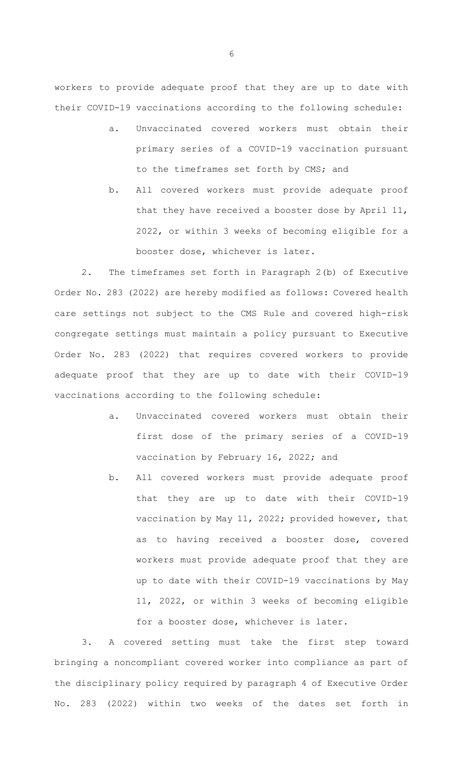workers to provide adequate proof that they are up to date with their COVID-19 vaccinations according to the following schedule:

- a. Unvaccinated covered workers must obtain their primary series of a COVID-19 vaccination pursuant to the timeframes set forth by CMS; and
- b. All covered workers must provide adequate proof that they have received a booster dose by April 11, 2022, or within 3 weeks of becoming eligible for a booster dose, whichever is later.

2. The timeframes set forth in Paragraph 2(b) of Executive Order No. 283 (2022) are hereby modified as follows: Covered health care settings not subject to the CMS Rule and covered high-risk congregate settings must maintain a policy pursuant to Executive Order No. 283 (2022) that requires covered workers to provide adequate proof that they are up to date with their COVID-19 vaccinations according to the following schedule:

- a. Unvaccinated covered workers must obtain their first dose of the primary series of a COVID-19 vaccination by February 16, 2022; and
- b. All covered workers must provide adequate proof that they are up to date with their COVID-19 vaccination by May 11, 2022; provided however, that as to having received a booster dose, covered workers must provide adequate proof that they are up to date with their COVID-19 vaccinations by May 11, 2022, or within 3 weeks of becoming eligible for a booster dose, whichever is later.

3. A covered setting must take the first step toward bringing a noncompliant covered worker into compliance as part of the disciplinary policy required by paragraph 4 of Executive Order No. 283 (2022) within two weeks of the dates set forth in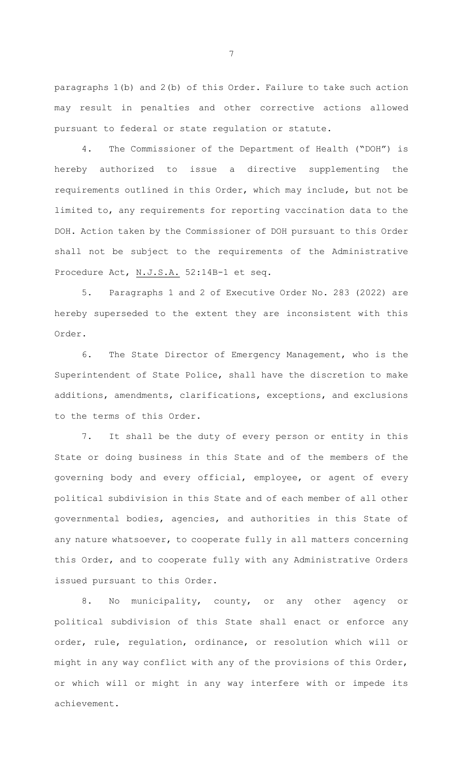paragraphs 1(b) and 2(b) of this Order. Failure to take such action may result in penalties and other corrective actions allowed pursuant to federal or state regulation or statute.

4. The Commissioner of the Department of Health ("DOH") is hereby authorized to issue a directive supplementing the requirements outlined in this Order, which may include, but not be limited to, any requirements for reporting vaccination data to the DOH. Action taken by the Commissioner of DOH pursuant to this Order shall not be subject to the requirements of the Administrative Procedure Act, N.J.S.A. 52:14B-1 et seq.

5. Paragraphs 1 and 2 of Executive Order No. 283 (2022) are hereby superseded to the extent they are inconsistent with this Order.

6. The State Director of Emergency Management, who is the Superintendent of State Police, shall have the discretion to make additions, amendments, clarifications, exceptions, and exclusions to the terms of this Order.

7. It shall be the duty of every person or entity in this State or doing business in this State and of the members of the governing body and every official, employee, or agent of every political subdivision in this State and of each member of all other governmental bodies, agencies, and authorities in this State of any nature whatsoever, to cooperate fully in all matters concerning this Order, and to cooperate fully with any Administrative Orders issued pursuant to this Order.

8. No municipality, county, or any other agency or political subdivision of this State shall enact or enforce any order, rule, regulation, ordinance, or resolution which will or might in any way conflict with any of the provisions of this Order, or which will or might in any way interfere with or impede its achievement.